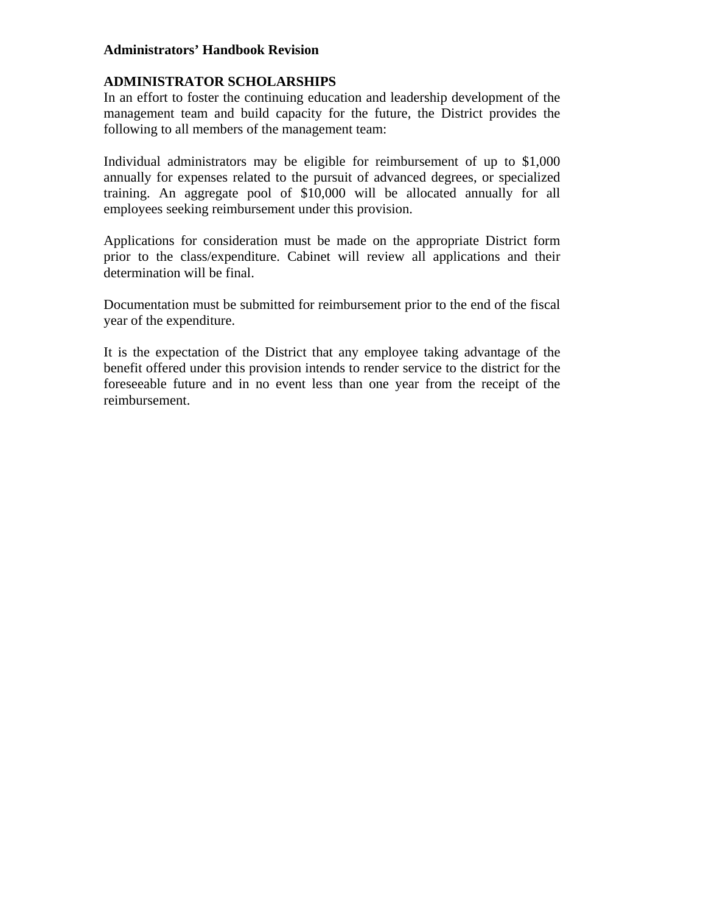#### **Administrators' Handbook Revision**

## **ADMINISTRATOR SCHOLARSHIPS**

In an effort to foster the continuing education and leadership development of the management team and build capacity for the future, the District provides the following to all members of the management team:

Individual administrators may be eligible for reimbursement of up to \$1,000 annually for expenses related to the pursuit of advanced degrees, or specialized training. An aggregate pool of \$10,000 will be allocated annually for all employees seeking reimbursement under this provision.

Applications for consideration must be made on the appropriate District form prior to the class/expenditure. Cabinet will review all applications and their determination will be final.

Documentation must be submitted for reimbursement prior to the end of the fiscal year of the expenditure.

It is the expectation of the District that any employee taking advantage of the benefit offered under this provision intends to render service to the district for the foreseeable future and in no event less than one year from the receipt of the reimbursement.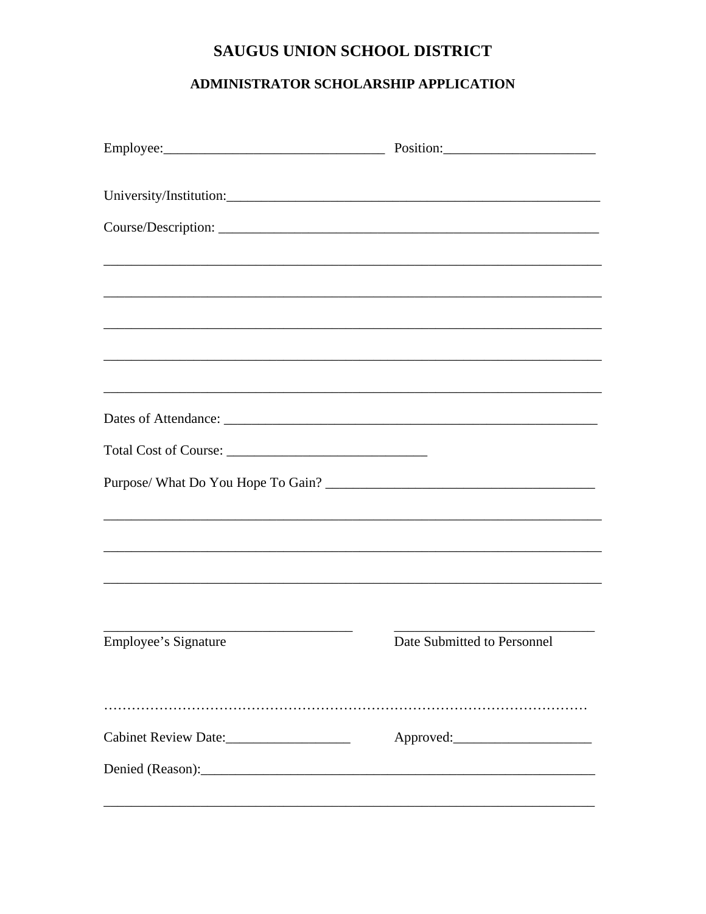# SAUGUS UNION SCHOOL DISTRICT

## ADMINISTRATOR SCHOLARSHIP APPLICATION

|                      | Employee: Position: Position:                                                    |
|----------------------|----------------------------------------------------------------------------------|
|                      |                                                                                  |
|                      |                                                                                  |
|                      | ,我们也不会有什么。""我们的人,我们也不会有什么?""我们的人,我们也不会有什么?""我们的人,我们也不会有什么?""我们的人,我们也不会有什么?""我们的人 |
|                      |                                                                                  |
|                      |                                                                                  |
|                      |                                                                                  |
|                      |                                                                                  |
|                      |                                                                                  |
|                      |                                                                                  |
|                      |                                                                                  |
|                      | ,我们也不能在这里的时候,我们也不能在这里的时候,我们也不能不能不能不能不能不能不能不能不能不能不能不能不能不能不能。""我们的是我们的,我们也不能不能不能不能 |
|                      |                                                                                  |
|                      |                                                                                  |
|                      |                                                                                  |
| Employee's Signature | Date Submitted to Personnel                                                      |
|                      |                                                                                  |
|                      |                                                                                  |
|                      |                                                                                  |
|                      |                                                                                  |